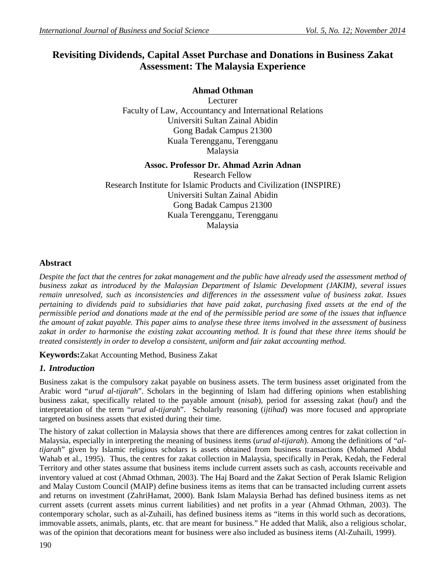# **Revisiting Dividends, Capital Asset Purchase and Donations in Business Zakat Assessment: The Malaysia Experience**

# **Ahmad Othman**

Lecturer Faculty of Law, Accountancy and International Relations Universiti Sultan Zainal Abidin Gong Badak Campus 21300 Kuala Terengganu, Terengganu Malaysia

## **Assoc. Professor Dr. Ahmad Azrin Adnan**

Research Fellow Research Institute for Islamic Products and Civilization (INSPIRE) Universiti Sultan Zainal Abidin Gong Badak Campus 21300 Kuala Terengganu, Terengganu Malaysia

# **Abstract**

*Despite the fact that the centres for zakat management and the public have already used the assessment method of business zakat as introduced by the Malaysian Department of Islamic Development (JAKIM), several issues remain unresolved, such as inconsistencies and differences in the assessment value of business zakat. Issues pertaining to dividends paid to subsidiaries that have paid zakat, purchasing fixed assets at the end of the permissible period and donations made at the end of the permissible period are some of the issues that influence the amount of zakat payable. This paper aims to analyse these three items involved in the assessment of business zakat in order to harmonise the existing zakat accounting method. It is found that these three items should be treated consistently in order to develop a consistent, uniform and fair zakat accounting method.*

## **Keywords:**Zakat Accounting Method, Business Zakat

## *1. Introduction*

Business zakat is the compulsory zakat payable on business assets. The term business asset originated from the Arabic word "*urud al-tijarah*". Scholars in the beginning of Islam had differing opinions when establishing business zakat, specifically related to the payable amount (*nisab*), period for assessing zakat (*haul*) and the interpretation of the term "*urud al-tijarah*". Scholarly reasoning (*ijtihad*) was more focused and appropriate targeted on business assets that existed during their time.

The history of zakat collection in Malaysia shows that there are differences among centres for zakat collection in Malaysia, especially in interpreting the meaning of business items (*urud al-tijarah*). Among the definitions of "*altijarah*" given by Islamic religious scholars is assets obtained from business transactions (Mohamed Abdul Wahab et al., 1995). Thus, the centres for zakat collection in Malaysia, specifically in Perak, Kedah, the Federal Territory and other states assume that business items include current assets such as cash, accounts receivable and inventory valued at cost (Ahmad Othman, 2003). The Haj Board and the Zakat Section of Perak Islamic Religion and Malay Custom Council (MAIP) define business items as items that can be transacted including current assets and returns on investment (ZahriHamat, 2000). Bank Islam Malaysia Berhad has defined business items as net current assets (current assets minus current liabilities) and net profits in a year (Ahmad Othman, 2003). The contemporary scholar, such as al-Zuhaili, has defined business items as "items in this world such as decorations, immovable assets, animals, plants, etc. that are meant for business." He added that Malik, also a religious scholar, was of the opinion that decorations meant for business were also included as business items (Al-Zuhaili, 1999).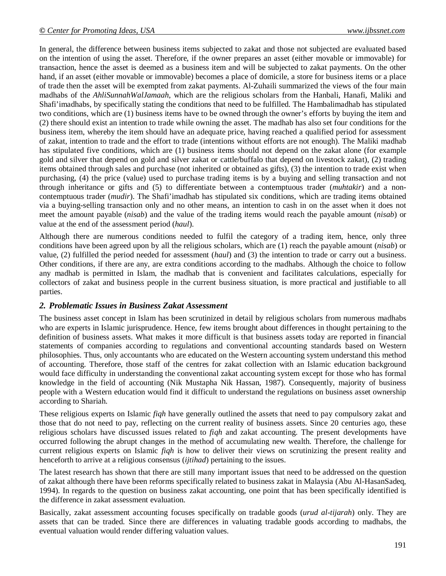In general, the difference between business items subjected to zakat and those not subjected are evaluated based on the intention of using the asset. Therefore, if the owner prepares an asset (either movable or immovable) for transaction, hence the asset is deemed as a business item and will be subjected to zakat payments. On the other hand, if an asset (either movable or immovable) becomes a place of domicile, a store for business items or a place of trade then the asset will be exempted from zakat payments. Al-Zuhaili summarized the views of the four main madhabs of the *AhliSunnahWalJamaah*, which are the religious scholars from the Hanbali, Hanafi, Maliki and Shafi'imadhabs, by specifically stating the conditions that need to be fulfilled. The Hambalimadhab has stipulated two conditions, which are (1) business items have to be owned through the owner's efforts by buying the item and (2) there should exist an intention to trade while owning the asset. The madhab has also set four conditions for the business item, whereby the item should have an adequate price, having reached a qualified period for assessment of zakat, intention to trade and the effort to trade (intentions without efforts are not enough). The Maliki madhab has stipulated five conditions, which are (1) business items should not depend on the zakat alone (for example gold and silver that depend on gold and silver zakat or cattle/buffalo that depend on livestock zakat), (2) trading items obtained through sales and purchase (not inherited or obtained as gifts), (3) the intention to trade exist when purchasing, (4) the price (value) used to purchase trading items is by a buying and selling transaction and not through inheritance or gifts and (5) to differentiate between a contemptuous trader (*muhtakir*) and a noncontemptuous trader (*mudir*). The Shafi'imadhab has stipulated six conditions, which are trading items obtained via a buying-selling transaction only and no other means, an intention to cash in on the asset when it does not meet the amount payable (*nisab*) and the value of the trading items would reach the payable amount (*nisab*) or value at the end of the assessment period (*haul*).

Although there are numerous conditions needed to fulfil the category of a trading item, hence, only three conditions have been agreed upon by all the religious scholars, which are (1) reach the payable amount (*nisab*) or value, (2) fulfilled the period needed for assessment (*haul*) and (3) the intention to trade or carry out a business. Other conditions, if there are any, are extra conditions according to the madhabs. Although the choice to follow any madhab is permitted in Islam, the madhab that is convenient and facilitates calculations, especially for collectors of zakat and business people in the current business situation, is more practical and justifiable to all parties.

### *2. Problematic Issues in Business Zakat Assessment*

The business asset concept in Islam has been scrutinized in detail by religious scholars from numerous madhabs who are experts in Islamic jurisprudence. Hence, few items brought about differences in thought pertaining to the definition of business assets. What makes it more difficult is that business assets today are reported in financial statements of companies according to regulations and conventional accounting standards based on Western philosophies. Thus, only accountants who are educated on the Western accounting system understand this method of accounting. Therefore, those staff of the centres for zakat collection with an Islamic education background would face difficulty in understanding the conventional zakat accounting system except for those who has formal knowledge in the field of accounting (Nik Mustapha Nik Hassan, 1987). Consequently, majority of business people with a Western education would find it difficult to understand the regulations on business asset ownership according to Shariah.

These religious experts on Islamic *fiqh* have generally outlined the assets that need to pay compulsory zakat and those that do not need to pay, reflecting on the current reality of business assets. Since 20 centuries ago, these religious scholars have discussed issues related to *fiqh* and zakat accounting. The present developments have occurred following the abrupt changes in the method of accumulating new wealth. Therefore, the challenge for current religious experts on Islamic *fiqh* is how to deliver their views on scrutinizing the present reality and henceforth to arrive at a religious consensus (*ijtihad*) pertaining to the issues.

The latest research has shown that there are still many important issues that need to be addressed on the question of zakat although there have been reforms specifically related to business zakat in Malaysia (Abu Al-HasanSadeq, 1994). In regards to the question on business zakat accounting, one point that has been specifically identified is the difference in zakat assessment evaluation.

Basically, zakat assessment accounting focuses specifically on tradable goods (*urud al-tijarah*) only. They are assets that can be traded. Since there are differences in valuating tradable goods according to madhabs, the eventual valuation would render differing valuation values.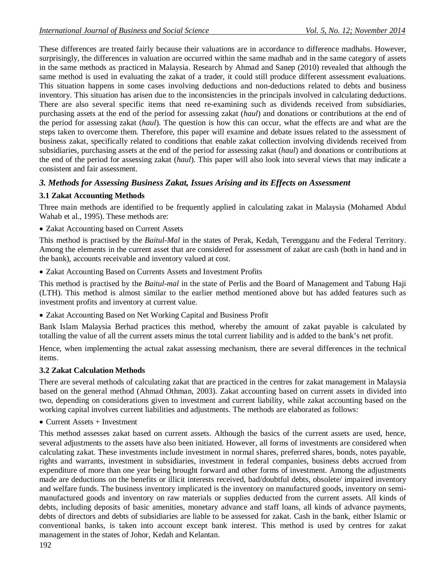These differences are treated fairly because their valuations are in accordance to difference madhabs. However, surprisingly, the differences in valuation are occurred within the same madhab and in the same category of assets in the same methods as practiced in Malaysia. Research by Ahmad and Sanep (2010) revealed that although the same method is used in evaluating the zakat of a trader, it could still produce different assessment evaluations. This situation happens in some cases involving deductions and non-deductions related to debts and business inventory. This situation has arisen due to the inconsistencies in the principals involved in calculating deductions. There are also several specific items that need re-examining such as dividends received from subsidiaries, purchasing assets at the end of the period for assessing zakat (*haul*) and donations or contributions at the end of the period for assessing zakat (*haul*). The question is how this can occur, what the effects are and what are the steps taken to overcome them. Therefore, this paper will examine and debate issues related to the assessment of business zakat, specifically related to conditions that enable zakat collection involving dividends received from subsidiaries, purchasing assets at the end of the period for assessing zakat (*haul*) and donations or contributions at the end of the period for assessing zakat (*haul*). This paper will also look into several views that may indicate a consistent and fair assessment.

# *3. Methods for Assessing Business Zakat, Issues Arising and its Effects on Assessment*

## **3.1 Zakat Accounting Methods**

Three main methods are identified to be frequently applied in calculating zakat in Malaysia (Mohamed Abdul Wahab et al., 1995). These methods are:

Zakat Accounting based on Current Assets

This method is practised by the *Baitul-Mal* in the states of Perak, Kedah, Terengganu and the Federal Territory. Among the elements in the current asset that are considered for assessment of zakat are cash (both in hand and in the bank), accounts receivable and inventory valued at cost.

Zakat Accounting Based on Currents Assets and Investment Profits

This method is practised by the *Baitul-mal* in the state of Perlis and the Board of Management and Tabung Haji (LTH). This method is almost similar to the earlier method mentioned above but has added features such as investment profits and inventory at current value.

Zakat Accounting Based on Net Working Capital and Business Profit

Bank Islam Malaysia Berhad practices this method, whereby the amount of zakat payable is calculated by totalling the value of all the current assets minus the total current liability and is added to the bank's net profit.

Hence, when implementing the actual zakat assessing mechanism, there are several differences in the technical items.

## **3.2 Zakat Calculation Methods**

There are several methods of calculating zakat that are practiced in the centres for zakat management in Malaysia based on the general method (Ahmad Othman, 2003). Zakat accounting based on current assets in divided into two, depending on considerations given to investment and current liability, while zakat accounting based on the working capital involves current liabilities and adjustments. The methods are elaborated as follows:

 $\bullet$  Current Assets + Investment

This method assesses zakat based on current assets. Although the basics of the current assets are used, hence, several adjustments to the assets have also been initiated. However, all forms of investments are considered when calculating zakat. These investments include investment in normal shares, preferred shares, bonds, notes payable, rights and warrants, investment in subsidiaries, investment in federal companies, business debts accrued from expenditure of more than one year being brought forward and other forms of investment. Among the adjustments made are deductions on the benefits or illicit interests received, bad/doubtful debts, obsolete/ impaired inventory and welfare funds. The business inventory implicated is the inventory on manufactured goods, inventory on semimanufactured goods and inventory on raw materials or supplies deducted from the current assets. All kinds of debts, including deposits of basic amenities, monetary advance and staff loans, all kinds of advance payments, debts of directors and debts of subsidiaries are liable to be assessed for zakat. Cash in the bank, either Islamic or conventional banks, is taken into account except bank interest. This method is used by centres for zakat management in the states of Johor, Kedah and Kelantan.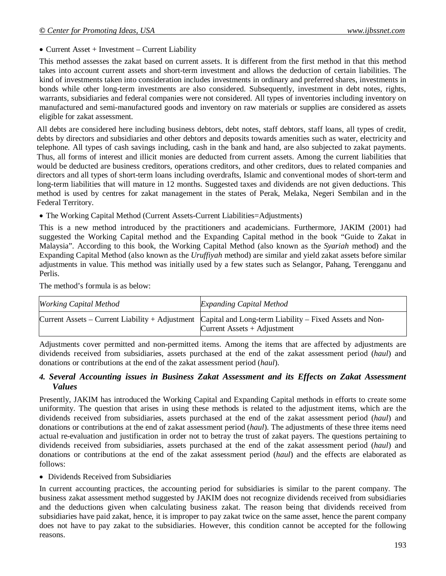• Current Asset + Investment – Current Liability

This method assesses the zakat based on current assets. It is different from the first method in that this method takes into account current assets and short-term investment and allows the deduction of certain liabilities. The kind of investments taken into consideration includes investments in ordinary and preferred shares, investments in bonds while other long-term investments are also considered. Subsequently, investment in debt notes, rights, warrants, subsidiaries and federal companies were not considered. All types of inventories including inventory on manufactured and semi-manufactured goods and inventory on raw materials or supplies are considered as assets eligible for zakat assessment.

All debts are considered here including business debtors, debt notes, staff debtors, staff loans, all types of credit, debts by directors and subsidiaries and other debtors and deposits towards amenities such as water, electricity and telephone. All types of cash savings including, cash in the bank and hand, are also subjected to zakat payments. Thus, all forms of interest and illicit monies are deducted from current assets. Among the current liabilities that would be deducted are business creditors, operations creditors, and other creditors, dues to related companies and directors and all types of short-term loans including overdrafts, Islamic and conventional modes of short-term and long-term liabilities that will mature in 12 months. Suggested taxes and dividends are not given deductions. This method is used by centres for zakat management in the states of Perak, Melaka, Negeri Sembilan and in the Federal Territory.

The Working Capital Method (Current Assets-Current Liabilities=Adjustments)

This is a new method introduced by the practitioners and academicians. Furthermore, JAKIM (2001) had suggested the Working Capital method and the Expanding Capital method in the book "Guide to Zakat in Malaysia". According to this book, the Working Capital Method (also known as the *Syariah* method) and the Expanding Capital Method (also known as the *Uruffiyah* method) are similar and yield zakat assets before similar adjustments in value. This method was initially used by a few states such as Selangor, Pahang, Terengganu and Perlis.

The method's formula is as below:

| <b>Working Capital Method</b> | <b>Expanding Capital Method</b>                                                                                                          |
|-------------------------------|------------------------------------------------------------------------------------------------------------------------------------------|
|                               | Current Assets – Current Liability + Adjustment Capital and Long-term Liability – Fixed Assets and Non-<br>Current Assets $+$ Adjustment |

Adjustments cover permitted and non-permitted items. Among the items that are affected by adjustments are dividends received from subsidiaries, assets purchased at the end of the zakat assessment period (*haul*) and donations or contributions at the end of the zakat assessment period (*haul*).

### *4. Several Accounting issues in Business Zakat Assessment and its Effects on Zakat Assessment Values*

Presently, JAKIM has introduced the Working Capital and Expanding Capital methods in efforts to create some uniformity. The question that arises in using these methods is related to the adjustment items, which are the dividends received from subsidiaries, assets purchased at the end of the zakat assessment period (*haul*) and donations or contributions at the end of zakat assessment period (*haul*). The adjustments of these three items need actual re-evaluation and justification in order not to betray the trust of zakat payers. The questions pertaining to dividends received from subsidiaries, assets purchased at the end of the zakat assessment period (*haul*) and donations or contributions at the end of the zakat assessment period (*haul*) and the effects are elaborated as follows:

• Dividends Received from Subsidiaries

In current accounting practices, the accounting period for subsidiaries is similar to the parent company. The business zakat assessment method suggested by JAKIM does not recognize dividends received from subsidiaries and the deductions given when calculating business zakat. The reason being that dividends received from subsidiaries have paid zakat, hence, it is improper to pay zakat twice on the same asset, hence the parent company does not have to pay zakat to the subsidiaries. However, this condition cannot be accepted for the following reasons.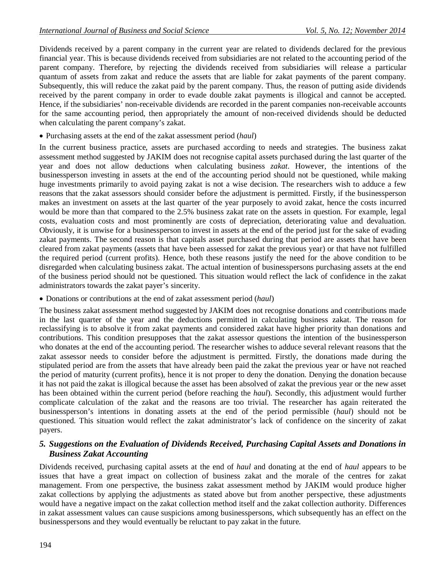Dividends received by a parent company in the current year are related to dividends declared for the previous financial year. This is because dividends received from subsidiaries are not related to the accounting period of the parent company. Therefore, by rejecting the dividends received from subsidiaries will release a particular quantum of assets from zakat and reduce the assets that are liable for zakat payments of the parent company. Subsequently, this will reduce the zakat paid by the parent company. Thus, the reason of putting aside dividends received by the parent company in order to evade double zakat payments is illogical and cannot be accepted. Hence, if the subsidiaries' non-receivable dividends are recorded in the parent companies non-receivable accounts for the same accounting period, then appropriately the amount of non-received dividends should be deducted when calculating the parent company's zakat.

Purchasing assets at the end of the zakat assessment period (*haul*)

In the current business practice, assets are purchased according to needs and strategies. The business zakat assessment method suggested by JAKIM does not recognise capital assets purchased during the last quarter of the year and does not allow deductions when calculating business *zakat*. However, the intentions of the businessperson investing in assets at the end of the accounting period should not be questioned, while making huge investments primarily to avoid paying zakat is not a wise decision. The researchers wish to adduce a few reasons that the zakat assessors should consider before the adjustment is permitted. Firstly, if the businessperson makes an investment on assets at the last quarter of the year purposely to avoid zakat, hence the costs incurred would be more than that compared to the 2.5% business zakat rate on the assets in question. For example, legal costs, evaluation costs and most prominently are costs of depreciation, deteriorating value and devaluation. Obviously, it is unwise for a businessperson to invest in assets at the end of the period just for the sake of evading zakat payments. The second reason is that capitals asset purchased during that period are assets that have been cleared from zakat payments (assets that have been assessed for zakat the previous year) or that have not fulfilled the required period (current profits). Hence, both these reasons justify the need for the above condition to be disregarded when calculating business zakat. The actual intention of businesspersons purchasing assets at the end of the business period should not be questioned. This situation would reflect the lack of confidence in the zakat administrators towards the zakat payer's sincerity.

Donations or contributions at the end of zakat assessment period (*haul*)

The business zakat assessment method suggested by JAKIM does not recognise donations and contributions made in the last quarter of the year and the deductions permitted in calculating business zakat. The reason for reclassifying is to absolve it from zakat payments and considered zakat have higher priority than donations and contributions. This condition presupposes that the zakat assessor questions the intention of the businessperson who donates at the end of the accounting period. The researcher wishes to adduce several relevant reasons that the zakat assessor needs to consider before the adjustment is permitted. Firstly, the donations made during the stipulated period are from the assets that have already been paid the zakat the previous year or have not reached the period of maturity (current profits), hence it is not proper to deny the donation. Denying the donation because it has not paid the zakat is illogical because the asset has been absolved of zakat the previous year or the new asset has been obtained within the current period (before reaching the *haul*). Secondly, this adjustment would further complicate calculation of the zakat and the reasons are too trivial. The researcher has again reiterated the businessperson's intentions in donating assets at the end of the period permissible (*haul*) should not be questioned. This situation would reflect the zakat administrator's lack of confidence on the sincerity of zakat payers.

## *5. Suggestions on the Evaluation of Dividends Received, Purchasing Capital Assets and Donations in Business Zakat Accounting*

Dividends received, purchasing capital assets at the end of *haul* and donating at the end of *haul* appears to be issues that have a great impact on collection of business zakat and the morale of the centres for zakat management. From one perspective, the business zakat assessment method by JAKIM would produce higher zakat collections by applying the adjustments as stated above but from another perspective, these adjustments would have a negative impact on the zakat collection method itself and the zakat collection authority. Differences in zakat assessment values can cause suspicions among businesspersons, which subsequently has an effect on the businesspersons and they would eventually be reluctant to pay zakat in the future.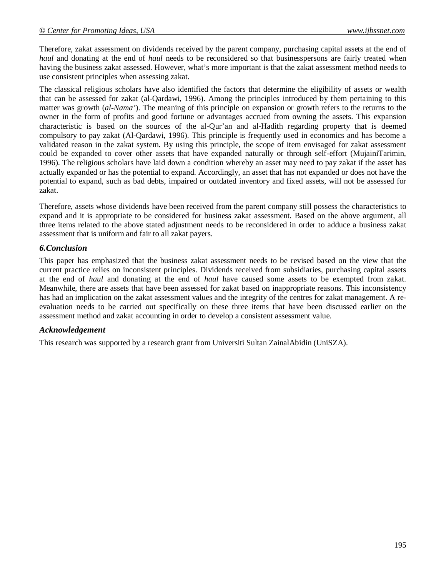Therefore, zakat assessment on dividends received by the parent company, purchasing capital assets at the end of *haul* and donating at the end of *haul* needs to be reconsidered so that businesspersons are fairly treated when having the business zakat assessed. However, what's more important is that the zakat assessment method needs to use consistent principles when assessing zakat.

The classical religious scholars have also identified the factors that determine the eligibility of assets or wealth that can be assessed for zakat (al-Qardawi, 1996). Among the principles introduced by them pertaining to this matter was growth (*al-Nama'*). The meaning of this principle on expansion or growth refers to the returns to the owner in the form of profits and good fortune or advantages accrued from owning the assets. This expansion characteristic is based on the sources of the al-Qur'an and al-Hadith regarding property that is deemed compulsory to pay zakat (Al-Qardawi, 1996). This principle is frequently used in economics and has become a validated reason in the zakat system. By using this principle, the scope of item envisaged for zakat assessment could be expanded to cover other assets that have expanded naturally or through self-effort (MujainiTarimin, 1996). The religious scholars have laid down a condition whereby an asset may need to pay zakat if the asset has actually expanded or has the potential to expand. Accordingly, an asset that has not expanded or does not have the potential to expand, such as bad debts, impaired or outdated inventory and fixed assets, will not be assessed for zakat.

Therefore, assets whose dividends have been received from the parent company still possess the characteristics to expand and it is appropriate to be considered for business zakat assessment. Based on the above argument, all three items related to the above stated adjustment needs to be reconsidered in order to adduce a business zakat assessment that is uniform and fair to all zakat payers.

### *6.Conclusion*

This paper has emphasized that the business zakat assessment needs to be revised based on the view that the current practice relies on inconsistent principles. Dividends received from subsidiaries, purchasing capital assets at the end of *haul* and donating at the end of *haul* have caused some assets to be exempted from zakat. Meanwhile, there are assets that have been assessed for zakat based on inappropriate reasons. This inconsistency has had an implication on the zakat assessment values and the integrity of the centres for zakat management. A reevaluation needs to be carried out specifically on these three items that have been discussed earlier on the assessment method and zakat accounting in order to develop a consistent assessment value.

### *Acknowledgement*

This research was supported by a research grant from Universiti Sultan ZainalAbidin (UniSZA).